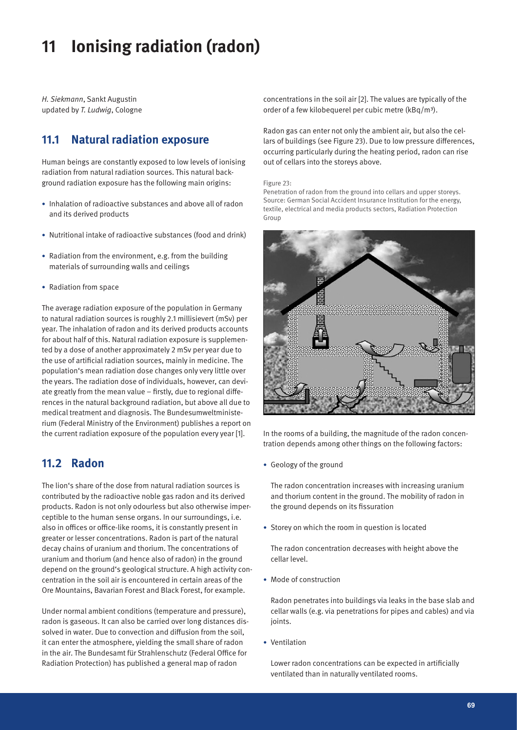# **11 Ionising radiation (radon)**

*H. Siekmann*, Sankt Augustin updated by *T. Ludwig*, Cologne

# **11.1 Natural radiation exposure**

Human beings are constantly exposed to low levels of ionising radiation from natural radiation sources. This natural background radiation exposure has the following main origins:

- Inhalation of radioactive substances and above all of radon and its derived products
- Nutritional intake of radioactive substances (food and drink)
- Radiation from the environment, e.g. from the building materials of surrounding walls and ceilings
- Radiation from space

The average radiation exposure of the population in Germany to natural radiation sources is roughly 2.1 millisievert (mSv) per year. The inhalation of radon and its derived products accounts for about half of this. Natural radiation exposure is supplemented by a dose of another approximately 2 mSv per year due to the use of artificial radiation sources, mainly in medicine. The population's mean radiation dose changes only very little over the years. The radiation dose of individuals, however, can deviate greatly from the mean value – firstly, due to regional differences in the natural background radiation, but above all due to medical treatment and diagnosis. The Bundesumweltministerium (Federal Ministry of the Environment) publishes a report on the current radiation exposure of the population every year [1].

### **11.2 Radon**

The lion's share of the dose from natural radiation sources is contributed by the radioactive noble gas radon and its derived products. Radon is not only odourless but also otherwise imperceptible to the human sense organs. In our surroundings, i.e. also in offices or office-like rooms, it is constantly present in greater or lesser concentrations. Radon is part of the natural decay chains of uranium and thorium. The concentrations of uranium and thorium (and hence also of radon) in the ground depend on the ground's geological structure. A high activity concentration in the soil air is encountered in certain areas of the Ore Mountains, Bavarian Forest and Black Forest, for example.

Under normal ambient conditions (temperature and pressure), radon is gaseous. It can also be carried over long distances dissolved in water. Due to convection and diffusion from the soil, it can enter the atmosphere, yielding the small share of radon in the air. The Bundesamt für Strahlenschutz (Federal Office for Radiation Protection) has published a general map of radon

concentrations in the soil air [2]. The values are typically of the order of a few kilobequerel per cubic metre (kBq/m<sup>3</sup>).

Radon gas can enter not only the ambient air, but also the cellars of buildings (see Figure 23). Due to low pressure differences, occurring particularly during the heating period, radon can rise out of cellars into the storeys above.

#### Figure 23:

Penetration of radon from the ground into cellars and upper storeys. Source: German Social Accident Insurance Institution for the energy, textile, electrical and media products sectors, Radiation Protection Group



In the rooms of a building, the magnitude of the radon concentration depends among other things on the following factors:

• Geology of the ground

The radon concentration increases with increasing uranium and thorium content in the ground. The mobility of radon in the ground depends on its fissuration

• Storey on which the room in question is located

The radon concentration decreases with height above the cellar level.

• Mode of construction

Radon penetrates into buildings via leaks in the base slab and cellar walls (e.g. via penetrations for pipes and cables) and via ioints.

• Ventilation

Lower radon concentrations can be expected in artificially ventilated than in naturally ventilated rooms.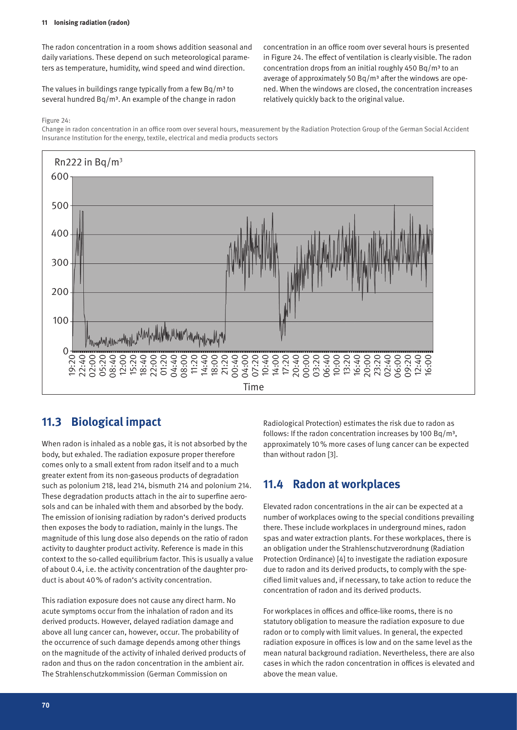#### **11 Ionising radiation (radon)**

The radon concentration in a room shows addition seasonal and daily variations. These depend on such meteorological parameters as temperature, humidity, wind speed and wind direction.

The values in buildings range typically from a few  $Bq/m<sup>3</sup>$  to several hundred Bq/m<sup>3</sup>. An example of the change in radon

concentration in an office room over several hours is presented in Figure 24. The effect of ventilation is clearly visible. The radon concentration drops from an initial roughly 450 Bq/m<sup>3</sup> to an average of approximately 50 Bq/m<sup>3</sup> after the windows are opened. When the windows are closed, the concentration increases relatively quickly back to the original value.

Figure 24:

Change in radon concentration in an office room over several hours, measurement by the Radiation Protection Group of the German Social Accident Insurance Institution for the energy, textile, electrical and media products sectors



# **11.3 Biological impact**

When radon is inhaled as a noble gas, it is not absorbed by the body, but exhaled. The radiation exposure proper therefore comes only to a small extent from radon itself and to a much greater extent from its non-gaseous products of degradation such as polonium 218, lead 214, bismuth 214 and polonium 214. These degradation products attach in the air to superfine aerosols and can be inhaled with them and absorbed by the body. The emission of ionising radiation by radon's derived products then exposes the body to radiation, mainly in the lungs. The magnitude of this lung dose also depends on the ratio of radon activity to daughter product activity. Reference is made in this context to the so-called equilibrium factor. This is usually a value of about 0.4, i.e. the activity concentration of the daughter product is about 40% of radon's activity concentration.

This radiation exposure does not cause any direct harm. No acute symptoms occur from the inhalation of radon and its derived products. However, delayed radiation damage and above all lung cancer can, however, occur. The probability of the occurrence of such damage depends among other things on the magnitude of the activity of inhaled derived products of radon and thus on the radon concentration in the ambient air. The Strahlenschutzkommission (German Commission on

Radiological Protection) estimates the risk due to radon as follows: If the radon concentration increases by 100 Bq/m<sup>3</sup>, approximately 10% more cases of lung cancer can be expected than without radon [3].

# **11.4 Radon at workplaces**

Elevated radon concentrations in the air can be expected at a number of workplaces owing to the special conditions prevailing there. These include workplaces in underground mines, radon spas and water extraction plants. For these workplaces, there is an obligation under the Strahlenschutzverordnung (Radiation Protection Ordinance) [4] to investigate the radiation exposure due to radon and its derived products, to comply with the specified limit values and, if necessary, to take action to reduce the concentration of radon and its derived products.

For workplaces in offices and office-like rooms, there is no statutory obligation to measure the radiation exposure to due radon or to comply with limit values. In general, the expected radiation exposure in offices is low and on the same level as the mean natural background radiation. Nevertheless, there are also cases in which the radon concentration in offices is elevated and above the mean value.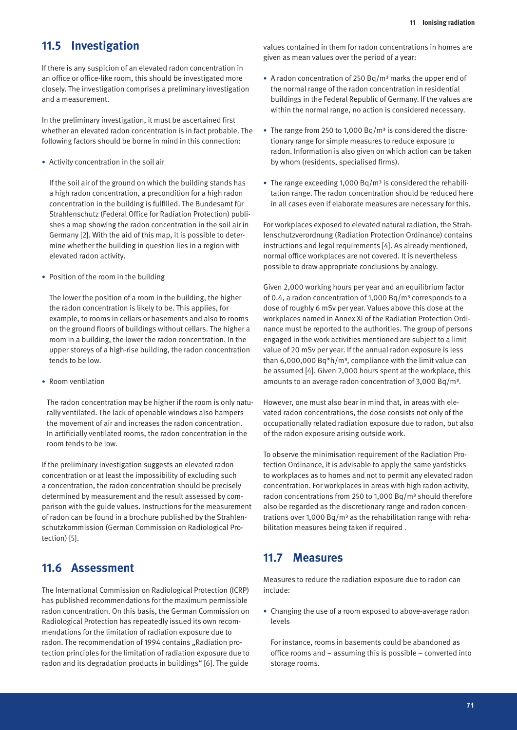### **11.5 Investigation**

If there is any suspicion of an elevated radon concentration in an office or office-like room, this should be investigated more closely. The investigation comprises a preliminary investigation and a measurement.

In the preliminary investigation, it must be ascertained first whether an elevated radon concentration is in fact probable. The following factors should be borne in mind in this connection:

• Activity concentration in the soil air

If the soil air of the ground on which the building stands has a high radon concentration, a precondition for a high radon concentration in the building is fulfilled. The Bundesamt für Strahlenschutz (Federal Office for Radiation Protection) publishes a map showing the radon concentration in the soil air in Germany [2]. With the aid of this map, it is possible to determine whether the building in question lies in a region with elevated radon activity.

• Position of the room in the building

The lower the position of a room in the building, the higher the radon concentration is likely to be. This applies, for example, to rooms in cellars or basements and also to rooms on the ground floors of buildings without cellars. The higher a room in a building, the lower the radon concentration. In the upper storeys of a high-rise building, the radon concentration tends to be low.

• Room ventilation

The radon concentration may be higher if the room is only naturally ventilated. The lack of openable windows also hampers the movement of air and increases the radon concentration. In artificially ventilated rooms, the radon concentration in the room tends to be low.

If the preliminary investigation suggests an elevated radon concentration or at least the impossibility of excluding such a concentration, the radon concentration should be precisely determined by measurement and the result assessed by comparison with the guide values. Instructions for the measurement of radon can be found in a brochure published by the Strahlenschutzkommission (German Commission on Radiological Protection) [5].

### **11.6 Assessment**

The International Commission on Radiological Protection (ICRP) has published recommendations for the maximum permissible radon concentration. On this basis, the German Commission on Radiological Protection has repeatedly issued its own recommendations for the limitation of radiation exposure due to radon. The recommendation of 1994 contains "Radiation protection principles for the limitation of radiation exposure due to radon and its degradation products in buildings" [6]. The guide

values contained in them for radon concentrations in homes are given as mean values over the period of a year:

- A radon concentration of 250 Bq/m<sup>3</sup> marks the upper end of the normal range of the radon concentration in residential buildings in the Federal Republic of Germany. If the values are within the normal range, no action is considered necessary.
- The range from 250 to 1,000 Bq/m<sup>3</sup> is considered the discretionary range for simple measures to reduce exposure to radon. Information is also given on which action can be taken by whom (residents, specialised firms).
- The range exceeding 1,000 Bq/m<sup>3</sup> is considered the rehabilitation range. The radon concentration should be reduced here in all cases even if elaborate measures are necessary for this.

For workplaces exposed to elevated natural radiation, the Strahlenschutzverordnung (Radiation Protection Ordinance) contains instructions and legal requirements [4]. As already mentioned, normal office workplaces are not covered. It is nevertheless possible to draw appropriate conclusions by analogy.

Given 2,000 working hours per year and an equilibrium factor of 0.4, a radon concentration of 1,000 Bq/m<sup>3</sup> corresponds to a dose of roughly 6 mSv per year. Values above this dose at the workplaces named in Annex XI of the Radiation Protection Ordinance must be reported to the authorities. The group of persons engaged in the work activities mentioned are subject to a limit value of 20 mSv per year. If the annual radon exposure is less than 6,000,000 Bq $*$ h/m<sup>3</sup>, compliance with the limit value can be assumed [4]. Given 2,000 hours spent at the workplace, this amounts to an average radon concentration of 3,000 Bq/m³.

However, one must also bear in mind that, in areas with elevated radon concentrations, the dose consists not only of the occupationally related radiation exposure due to radon, but also of the radon exposure arising outside work.

To observe the minimisation requirement of the Radiation Protection Ordinance, it is advisable to apply the same yardsticks to workplaces as to homes and not to permit any elevated radon concentration. For workplaces in areas with high radon activity, radon concentrations from 250 to 1,000 Bq/m<sup>3</sup> should therefore also be regarded as the discretionary range and radon concentrations over 1,000 Bq/m<sup>3</sup> as the rehabilitation range with rehabilitation measures being taken if required .

#### **11.7 Measures**

Measures to reduce the radiation exposure due to radon can include:

• Changing the use of a room exposed to above-average radon levels

For instance, rooms in basements could be abandoned as office rooms and – assuming this is possible – converted into storage rooms.